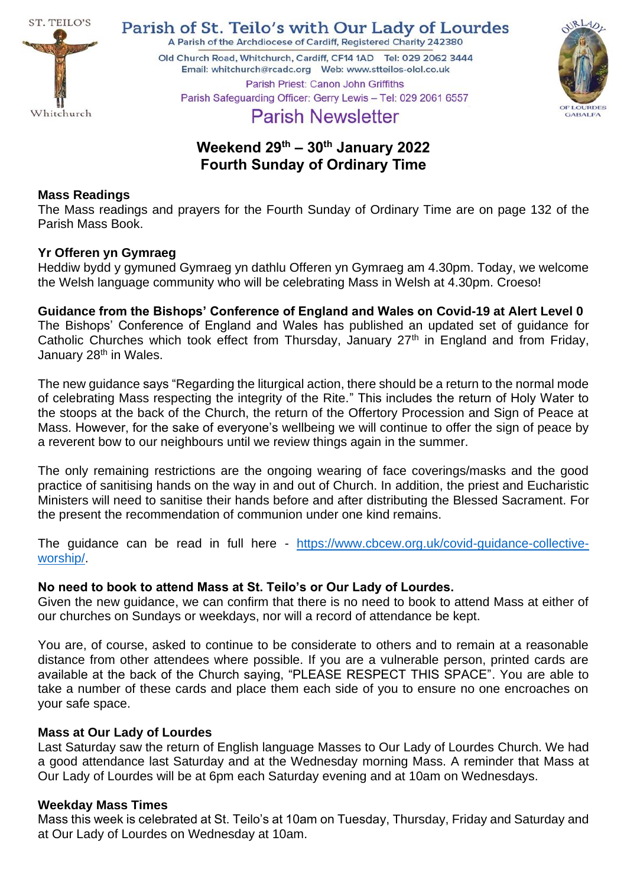

Parish of St. Teilo's with Our Lady of Lourdes A Parish of the Archdiocese of Cardiff, Registered Charity 242380

Old Church Road, Whitchurch, Cardiff, CF14 1AD Tel: 029 2062 3444 Parish Priest: Canon John Griffiths



Parish Safeguarding Officer: Gerry Lewis - Tel: 029 2061 6557 **Parish Newsletter** 

# **Weekend 29th – 30th January 2022 Fourth Sunday of Ordinary Time**

### **Mass Readings**

The Mass readings and prayers for the Fourth Sunday of Ordinary Time are on page 132 of the Parish Mass Book.

# **Yr Offeren yn Gymraeg**

Heddiw bydd y gymuned Gymraeg yn dathlu Offeren yn Gymraeg am 4.30pm. Today, we welcome the Welsh language community who will be celebrating Mass in Welsh at 4.30pm. Croeso!

**Guidance from the Bishops' Conference of England and Wales on Covid-19 at Alert Level 0** The Bishops' Conference of England and Wales has published an updated set of guidance for Catholic Churches which took effect from Thursday, January  $27<sup>th</sup>$  in England and from Friday, January 28<sup>th</sup> in Wales.

The new guidance says "Regarding the liturgical action, there should be a return to the normal mode of celebrating Mass respecting the integrity of the Rite." This includes the return of Holy Water to the stoops at the back of the Church, the return of the Offertory Procession and Sign of Peace at Mass. However, for the sake of everyone's wellbeing we will continue to offer the sign of peace by a reverent bow to our neighbours until we review things again in the summer.

The only remaining restrictions are the ongoing wearing of face coverings/masks and the good practice of sanitising hands on the way in and out of Church. In addition, the priest and Eucharistic Ministers will need to sanitise their hands before and after distributing the Blessed Sacrament. For the present the recommendation of communion under one kind remains.

The guidance can be read in full here - [https://www.cbcew.org.uk/covid-guidance-collective](https://www.cbcew.org.uk/covid-guidance-collective-worship/)[worship/.](https://www.cbcew.org.uk/covid-guidance-collective-worship/)

### **No need to book to attend Mass at St. Teilo's or Our Lady of Lourdes.**

Given the new guidance, we can confirm that there is no need to book to attend Mass at either of our churches on Sundays or weekdays, nor will a record of attendance be kept.

You are, of course, asked to continue to be considerate to others and to remain at a reasonable distance from other attendees where possible. If you are a vulnerable person, printed cards are available at the back of the Church saying, "PLEASE RESPECT THIS SPACE". You are able to take a number of these cards and place them each side of you to ensure no one encroaches on your safe space.

### **Mass at Our Lady of Lourdes**

Last Saturday saw the return of English language Masses to Our Lady of Lourdes Church. We had a good attendance last Saturday and at the Wednesday morning Mass. A reminder that Mass at Our Lady of Lourdes will be at 6pm each Saturday evening and at 10am on Wednesdays.

### **Weekday Mass Times**

Mass this week is celebrated at St. Teilo's at 10am on Tuesday, Thursday, Friday and Saturday and at Our Lady of Lourdes on Wednesday at 10am.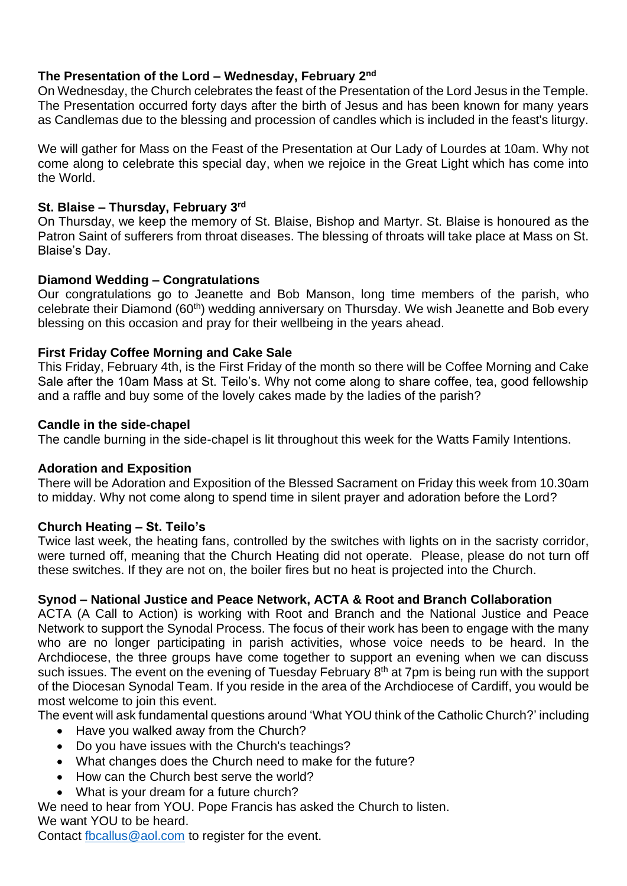# **The Presentation of the Lord – Wednesday, February 2nd**

On Wednesday, the Church celebrates the feast of the Presentation of the Lord Jesus in the Temple. The Presentation occurred forty days after the birth of Jesus and has been known for many years as Candlemas due to the blessing and procession of candles which is included in the feast's liturgy.

We will gather for Mass on the Feast of the Presentation at Our Lady of Lourdes at 10am. Why not come along to celebrate this special day, when we rejoice in the Great Light which has come into the World.

# **St. Blaise – Thursday, February 3 rd**

On Thursday, we keep the memory of St. Blaise, Bishop and Martyr. St. Blaise is honoured as the Patron Saint of sufferers from throat diseases. The blessing of throats will take place at Mass on St. Blaise's Day.

# **Diamond Wedding – Congratulations**

Our congratulations go to Jeanette and Bob Manson, long time members of the parish, who celebrate their Diamond (60th) wedding anniversary on Thursday. We wish Jeanette and Bob every blessing on this occasion and pray for their wellbeing in the years ahead.

# **First Friday Coffee Morning and Cake Sale**

This Friday, February 4th, is the First Friday of the month so there will be Coffee Morning and Cake Sale after the 10am Mass at St. Teilo's. Why not come along to share coffee, tea, good fellowship and a raffle and buy some of the lovely cakes made by the ladies of the parish?

### **Candle in the side-chapel**

The candle burning in the side-chapel is lit throughout this week for the Watts Family Intentions.

# **Adoration and Exposition**

There will be Adoration and Exposition of the Blessed Sacrament on Friday this week from 10.30am to midday. Why not come along to spend time in silent prayer and adoration before the Lord?

# **Church Heating – St. Teilo's**

Twice last week, the heating fans, controlled by the switches with lights on in the sacristy corridor, were turned off, meaning that the Church Heating did not operate. Please, please do not turn off these switches. If they are not on, the boiler fires but no heat is projected into the Church.

# **Synod – National Justice and Peace Network, ACTA & Root and Branch Collaboration**

ACTA (A Call to Action) is working with Root and Branch and the National Justice and Peace Network to support the Synodal Process. The focus of their work has been to engage with the many who are no longer participating in parish activities, whose voice needs to be heard. In the Archdiocese, the three groups have come together to support an evening when we can discuss such issues. The event on the evening of Tuesday February  $8<sup>th</sup>$  at 7pm is being run with the support of the Diocesan Synodal Team. If you reside in the area of the Archdiocese of Cardiff, you would be most welcome to join this event.

The event will ask fundamental questions around 'What YOU think of the Catholic Church?' including

- Have you walked away from the Church?
- Do you have issues with the Church's teachings?
- What changes does the Church need to make for the future?
- How can the Church best serve the world?
- What is your dream for a future church?

We need to hear from YOU. Pope Francis has asked the Church to listen. We want YOU to be heard.

Contact [fbcallus@aol.com](mailto:fbcallus@aol.com) to register for the event.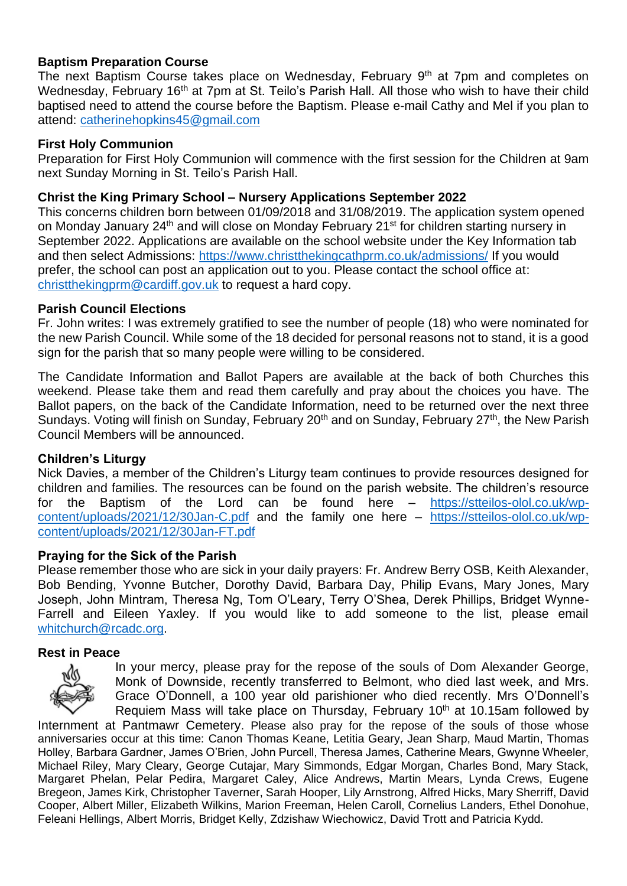### **Baptism Preparation Course**

The next Baptism Course takes place on Wednesday, February 9<sup>th</sup> at 7pm and completes on Wednesday, February 16<sup>th</sup> at 7pm at St. Teilo's Parish Hall. All those who wish to have their child baptised need to attend the course before the Baptism. Please e-mail Cathy and Mel if you plan to attend: [catherinehopkins45@gmail.com](mailto:catherinehopkins45@gmail.com)

#### **First Holy Communion**

Preparation for First Holy Communion will commence with the first session for the Children at 9am next Sunday Morning in St. Teilo's Parish Hall.

#### **Christ the King Primary School – Nursery Applications September 2022**

This concerns children born between 01/09/2018 and 31/08/2019. The application system opened on Monday January 24<sup>th</sup> and will close on Monday February 21<sup>st</sup> for children starting nursery in September 2022. Applications are available on the school website under the Key Information tab and then select Admissions:<https://www.christthekingcathprm.co.uk/admissions/> If you would prefer, the school can post an application out to you. Please contact the school office at: [christthekingprm@cardiff.gov.uk](mailto:christthekingprm@cardiff.gov.uk) to request a hard copy.

#### **Parish Council Elections**

Fr. John writes: I was extremely gratified to see the number of people (18) who were nominated for the new Parish Council. While some of the 18 decided for personal reasons not to stand, it is a good sign for the parish that so many people were willing to be considered.

The Candidate Information and Ballot Papers are available at the back of both Churches this weekend. Please take them and read them carefully and pray about the choices you have. The Ballot papers, on the back of the Candidate Information, need to be returned over the next three Sundays. Voting will finish on Sunday, February 20<sup>th</sup> and on Sunday, February 27<sup>th</sup>, the New Parish Council Members will be announced.

#### **Children's Liturgy**

Nick Davies, a member of the Children's Liturgy team continues to provide resources designed for children and families. The resources can be found on the parish website. The children's resource for the Baptism of the Lord can be found here – [https://stteilos-olol.co.uk/wp](https://stteilos-olol.co.uk/wp-content/uploads/2021/12/30Jan-C.pdf)[content/uploads/2021/12/30Jan-C.pdf](https://stteilos-olol.co.uk/wp-content/uploads/2021/12/30Jan-C.pdf) and the family one here – [https://stteilos-olol.co.uk/wp](https://stteilos-olol.co.uk/wp-content/uploads/2021/12/30Jan-FT.pdf)[content/uploads/2021/12/30Jan-FT.pdf](https://stteilos-olol.co.uk/wp-content/uploads/2021/12/30Jan-FT.pdf)

### **Praying for the Sick of the Parish**

Please remember those who are sick in your daily prayers: Fr. Andrew Berry OSB, Keith Alexander, Bob Bending, Yvonne Butcher, Dorothy David, Barbara Day, Philip Evans, Mary Jones, Mary Joseph, John Mintram, Theresa Ng, Tom O'Leary, Terry O'Shea, Derek Phillips, Bridget Wynne-Farrell and Eileen Yaxley. If you would like to add someone to the list, please email [whitchurch@rcadc.org.](mailto:whitchurch@rcadc.org)

#### **Rest in Peace**



In your mercy, please pray for the repose of the souls of Dom Alexander George, Monk of Downside, recently transferred to Belmont, who died last week, and Mrs. Grace O'Donnell, a 100 year old parishioner who died recently. Mrs O'Donnell's Requiem Mass will take place on Thursday, February 10<sup>th</sup> at 10.15am followed by

Internment at Pantmawr Cemetery. Please also pray for the repose of the souls of those whose anniversaries occur at this time: Canon Thomas Keane, Letitia Geary, Jean Sharp, Maud Martin, Thomas Holley, Barbara Gardner, James O'Brien, John Purcell, Theresa James, Catherine Mears, Gwynne Wheeler, Michael Riley, Mary Cleary, George Cutajar, Mary Simmonds, Edgar Morgan, Charles Bond, Mary Stack, Margaret Phelan, Pelar Pedira, Margaret Caley, Alice Andrews, Martin Mears, Lynda Crews, Eugene Bregeon, James Kirk, Christopher Taverner, Sarah Hooper, Lily Arnstrong, Alfred Hicks, Mary Sherriff, David Cooper, Albert Miller, Elizabeth Wilkins, Marion Freeman, Helen Caroll, Cornelius Landers, Ethel Donohue, Feleani Hellings, Albert Morris, Bridget Kelly, Zdzishaw Wiechowicz, David Trott and Patricia Kydd.